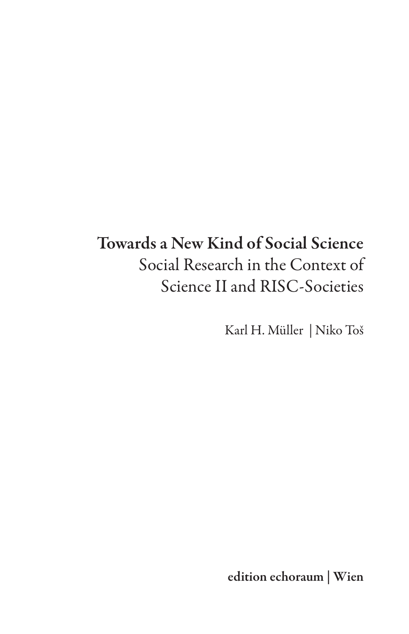# Towards a New Kind of Social Science Social Research in the Context of Science II and RISC-Societies

Karl H. Müller | Niko Toš

edition echoraum | Wien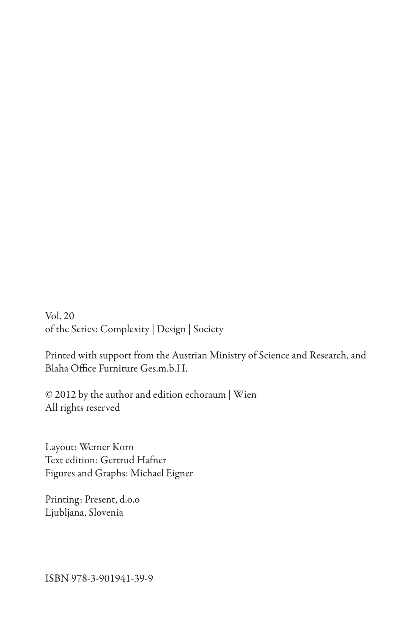Vol. 20 of the Series: Complexity | Design | Society

Printed with support from the Austrian Ministry of Science and Research, and Blaha Office Furniture Ges.m.b.H.

© 2012 by the author and edition echoraum | Wien All rights reserved

Layout: Werner Korn Text edition: Gertrud Hafner Figures and Graphs: Michael Eigner

Printing: Present, d.o.o Ljubljana, Slovenia

ISBN 978-3-901941-39-9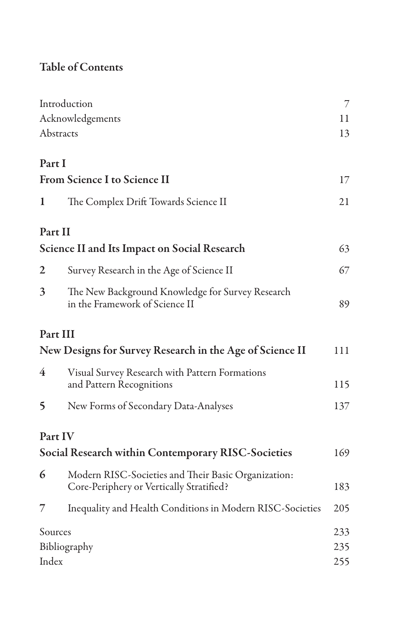# Table of Contents

| Introduction                                              |                                                                                                 | 7   |
|-----------------------------------------------------------|-------------------------------------------------------------------------------------------------|-----|
|                                                           | Acknowledgements                                                                                |     |
|                                                           | Abstracts                                                                                       |     |
| Part I                                                    |                                                                                                 |     |
| <b>From Science I to Science II</b>                       |                                                                                                 | 17  |
| 1                                                         | The Complex Drift Towards Science II                                                            | 21  |
|                                                           | Part II                                                                                         |     |
|                                                           | <b>Science II and Its Impact on Social Research</b>                                             |     |
| 2                                                         | Survey Research in the Age of Science II                                                        | 67  |
| 3                                                         | The New Background Knowledge for Survey Research<br>in the Framework of Science II              | 89  |
|                                                           | Part III                                                                                        |     |
| New Designs for Survey Research in the Age of Science II  |                                                                                                 | 111 |
| 4                                                         | Visual Survey Research with Pattern Formations<br>and Pattern Recognitions                      | 115 |
| 5                                                         | New Forms of Secondary Data-Analyses                                                            | 137 |
|                                                           | Part IV                                                                                         |     |
| <b>Social Research within Contemporary RISC-Societies</b> |                                                                                                 | 169 |
| 6                                                         | Modern RISC-Societies and Their Basic Organization:<br>Core-Periphery or Vertically Stratified? | 183 |
| 7                                                         | Inequality and Health Conditions in Modern RISC-Societies                                       | 205 |
|                                                           | Sources                                                                                         | 233 |
|                                                           | Bibliography                                                                                    |     |
| Index                                                     |                                                                                                 | 255 |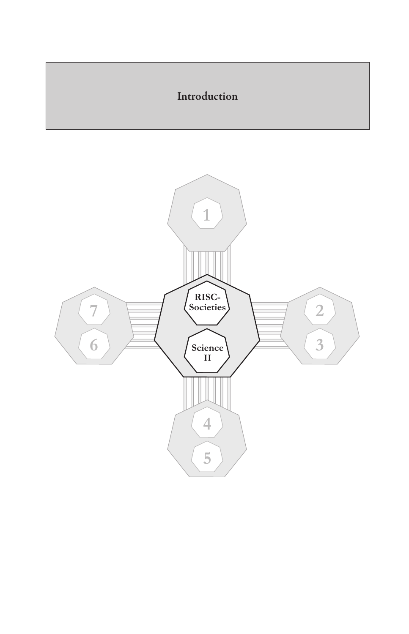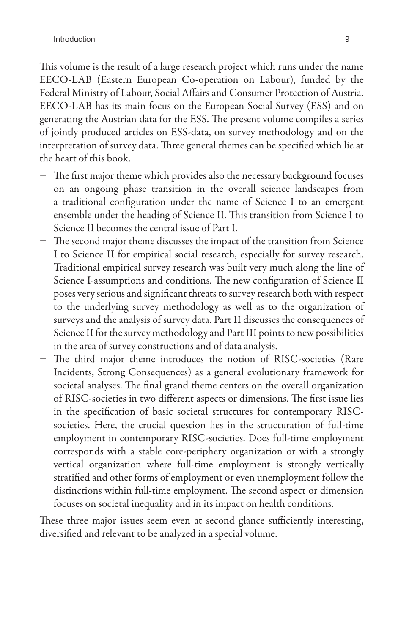This volume is the result of a large research project which runs under the name EECO-LAB (Eastern European Co-operation on Labour), funded by the Federal Ministry of Labour, Social Affairs and Consumer Protection of Austria. EECO-LAB has its main focus on the European Social Survey (ESS) and on generating the Austrian data for the ESS. The present volume compiles a series of jointly produced articles on ESS-data, on survey methodology and on the interpretation of survey data. Three general themes can be specified which lie at the heart of this book.

- − The first major theme which provides also the necessary background focuses on an ongoing phase transition in the overall science landscapes from a traditional configuration under the name of Science I to an emergent ensemble under the heading of Science II. This transition from Science I to Science II becomes the central issue of Part I.
- − The second major theme discusses the impact of the transition from Science I to Science II for empirical social research, especially for survey research. Traditional empirical survey research was built very much along the line of Science I-assumptions and conditions. The new configuration of Science II poses very serious and significant threats to survey research both with respect to the underlying survey methodology as well as to the organization of surveys and the analysis of survey data. Part II discusses the consequences of Science II for the survey methodology and Part III points to new possibilities in the area of survey constructions and of data analysis.
- − The third major theme introduces the notion of RISC-societies (Rare Incidents, Strong Consequences) as a general evolutionary framework for societal analyses. The final grand theme centers on the overall organization of RISC-societies in two different aspects or dimensions. The first issue lies in the specification of basic societal structures for contemporary RISCsocieties. Here, the crucial question lies in the structuration of full-time employment in contemporary RISC-societies. Does full-time employment corresponds with a stable core-periphery organization or with a strongly vertical organization where full-time employment is strongly vertically stratified and other forms of employment or even unemployment follow the distinctions within full-time employment. The second aspect or dimension focuses on societal inequality and in its impact on health conditions.

These three major issues seem even at second glance sufficiently interesting, diversified and relevant to be analyzed in a special volume.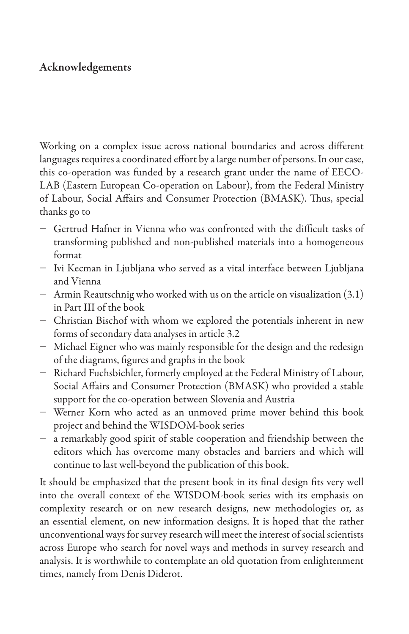### Acknowledgements

Working on a complex issue across national boundaries and across different languages requires a coordinated effort by a large number of persons. In our case, this co-operation was funded by a research grant under the name of EECO-LAB (Eastern European Co-operation on Labour), from the Federal Ministry of Labour, Social Affairs and Consumer Protection (BMASK). Thus, special thanks go to

- − Gertrud Hafner in Vienna who was confronted with the difficult tasks of transforming published and non-published materials into a homogeneous format
- − Ivi Kecman in Ljubljana who served as a vital interface between Ljubljana and Vienna
- − Armin Reautschnig who worked with us on the article on visualization (3.1) in Part III of the book
- − Christian Bischof with whom we explored the potentials inherent in new forms of secondary data analyses in article 3.2
- − Michael Eigner who was mainly responsible for the design and the redesign of the diagrams, figures and graphs in the book
- − Richard Fuchsbichler, formerly employed at the Federal Ministry of Labour, Social Affairs and Consumer Protection (BMASK) who provided a stable support for the co-operation between Slovenia and Austria
- − Werner Korn who acted as an unmoved prime mover behind this book project and behind the WISDOM-book series
- − a remarkably good spirit of stable cooperation and friendship between the editors which has overcome many obstacles and barriers and which will continue to last well-beyond the publication of this book.

It should be emphasized that the present book in its final design fits very well into the overall context of the WISDOM-book series with its emphasis on complexity research or on new research designs, new methodologies or, as an essential element, on new information designs. It is hoped that the rather unconventional ways for survey research will meet the interest of social scientists across Europe who search for novel ways and methods in survey research and analysis. It is worthwhile to contemplate an old quotation from enlightenment times, namely from Denis Diderot.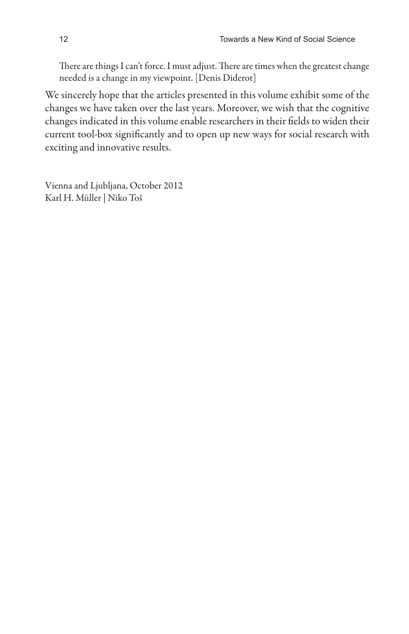There are things I can't force. I must adjust. There are times when the greatest change needed is a change in my viewpoint. [Denis Diderot]

We sincerely hope that the articles presented in this volume exhibit some of the changes we have taken over the last years. Moreover, we wish that the cognitive changes indicated in this volume enable researchers in their fields to widen their current tool-box significantly and to open up new ways for social research with exciting and innovative results.

Vienna and Ljubljana, October 2012 Karl H. Müller | Niko Toš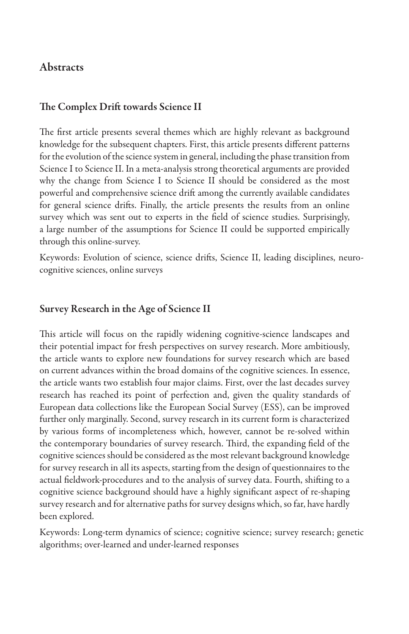#### **Abstracts**

#### The Complex Drift towards Science II

The first article presents several themes which are highly relevant as background knowledge for the subsequent chapters. First, this article presents different patterns for the evolution of the science system in general, including the phase transition from Science I to Science II. In a meta-analysis strong theoretical arguments are provided why the change from Science I to Science II should be considered as the most powerful and comprehensive science drift among the currently available candidates for general science drifts. Finally, the article presents the results from an online survey which was sent out to experts in the field of science studies. Surprisingly, a large number of the assumptions for Science II could be supported empirically through this online-survey.

Keywords: Evolution of science, science drifts, Science II, leading disciplines, neurocognitive sciences, online surveys

#### Survey Research in the Age of Science II

This article will focus on the rapidly widening cognitive-science landscapes and their potential impact for fresh perspectives on survey research. More ambitiously, the article wants to explore new foundations for survey research which are based on current advances within the broad domains of the cognitive sciences. In essence, the article wants two establish four major claims. First, over the last decades survey research has reached its point of perfection and, given the quality standards of European data collections like the European Social Survey (ESS), can be improved further only marginally. Second, survey research in its current form is characterized by various forms of incompleteness which, however, cannot be re-solved within the contemporary boundaries of survey research. Third, the expanding field of the cognitive sciences should be considered as the most relevant background knowledge for survey research in all its aspects, starting from the design of questionnaires to the actual fieldwork-procedures and to the analysis of survey data. Fourth, shifting to a cognitive science background should have a highly significant aspect of re-shaping survey research and for alternative paths for survey designs which, so far, have hardly been explored.

Keywords: Long-term dynamics of science; cognitive science; survey research; genetic algorithms; over-learned and under-learned responses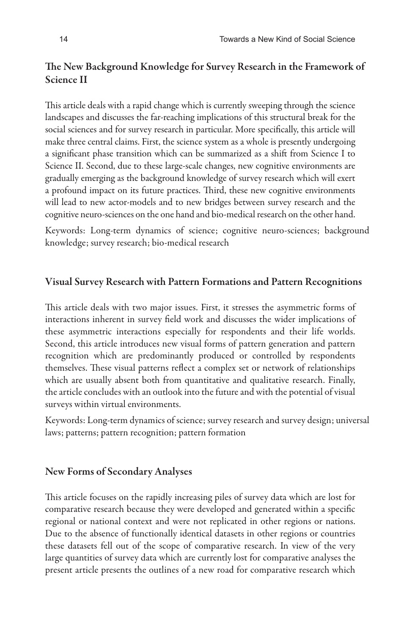#### The New Background Knowledge for Survey Research in the Framework of Science II

This article deals with a rapid change which is currently sweeping through the science landscapes and discusses the far-reaching implications of this structural break for the social sciences and for survey research in particular. More specifically, this article will make three central claims. First, the science system as a whole is presently undergoing a significant phase transition which can be summarized as a shift from Science I to Science II. Second, due to these large-scale changes, new cognitive environments are gradually emerging as the background knowledge of survey research which will exert a profound impact on its future practices. Third, these new cognitive environments will lead to new actor-models and to new bridges between survey research and the cognitive neuro-sciences on the one hand and bio-medical research on the other hand.

Keywords: Long-term dynamics of science; cognitive neuro-sciences; background knowledge; survey research; bio-medical research

#### Visual Survey Research with Pattern Formations and Pattern Recognitions

This article deals with two major issues. First, it stresses the asymmetric forms of interactions inherent in survey field work and discusses the wider implications of these asymmetric interactions especially for respondents and their life worlds. Second, this article introduces new visual forms of pattern generation and pattern recognition which are predominantly produced or controlled by respondents themselves. These visual patterns reflect a complex set or network of relationships which are usually absent both from quantitative and qualitative research. Finally, the article concludes with an outlook into the future and with the potential of visual surveys within virtual environments.

Keywords: Long-term dynamics of science; survey research and survey design; universal laws; patterns; pattern recognition; pattern formation

#### New Forms of Secondary Analyses

This article focuses on the rapidly increasing piles of survey data which are lost for comparative research because they were developed and generated within a specific regional or national context and were not replicated in other regions or nations. Due to the absence of functionally identical datasets in other regions or countries these datasets fell out of the scope of comparative research. In view of the very large quantities of survey data which are currently lost for comparative analyses the present article presents the outlines of a new road for comparative research which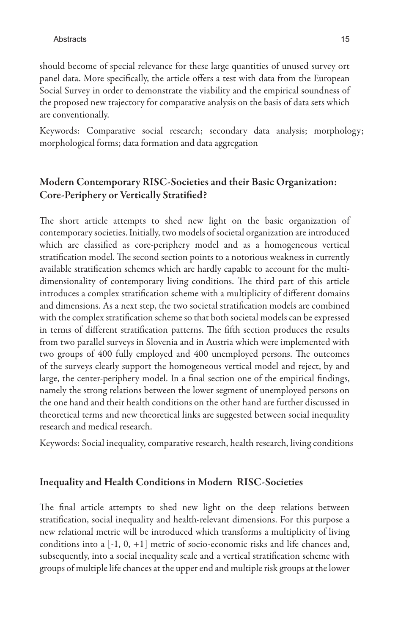should become of special relevance for these large quantities of unused survey ort panel data. More specifically, the article offers a test with data from the European Social Survey in order to demonstrate the viability and the empirical soundness of the proposed new trajectory for comparative analysis on the basis of data sets which are conventionally.

Keywords: Comparative social research; secondary data analysis; morphology; morphological forms; data formation and data aggregation

#### Modern Contemporary RISC-Societies and their Basic Organization: Core-Periphery or Vertically Stratified?

The short article attempts to shed new light on the basic organization of contemporary societies. Initially, two models of societal organization are introduced which are classified as core-periphery model and as a homogeneous vertical stratification model. The second section points to a notorious weakness in currently available stratification schemes which are hardly capable to account for the multidimensionality of contemporary living conditions. The third part of this article introduces a complex stratification scheme with a multiplicity of different domains and dimensions. As a next step, the two societal stratification models are combined with the complex stratification scheme so that both societal models can be expressed in terms of different stratification patterns. The fifth section produces the results from two parallel surveys in Slovenia and in Austria which were implemented with two groups of 400 fully employed and 400 unemployed persons. The outcomes of the surveys clearly support the homogeneous vertical model and reject, by and large, the center-periphery model. In a final section one of the empirical findings, namely the strong relations between the lower segment of unemployed persons on the one hand and their health conditions on the other hand are further discussed in theoretical terms and new theoretical links are suggested between social inequality research and medical research.

Keywords: Social inequality, comparative research, health research, living conditions

#### Inequality and Health Conditions in Modern RISC-Societies

The final article attempts to shed new light on the deep relations between stratification, social inequality and health-relevant dimensions. For this purpose a new relational metric will be introduced which transforms a multiplicity of living conditions into a [-1, 0, +1] metric of socio-economic risks and life chances and, subsequently, into a social inequality scale and a vertical stratification scheme with groups of multiple life chances at the upper end and multiple risk groups at the lower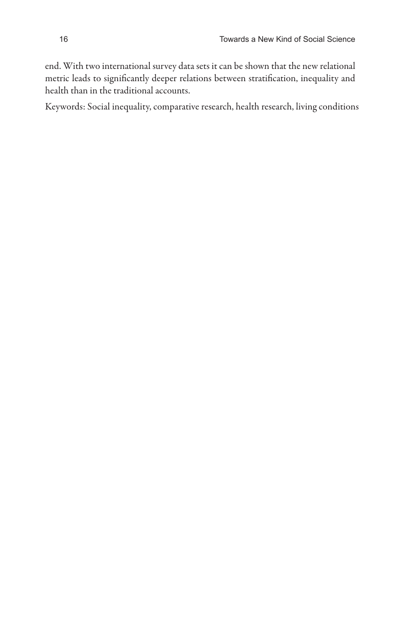end. With two international survey data sets it can be shown that the new relational metric leads to significantly deeper relations between stratification, inequality and health than in the traditional accounts.

Keywords: Social inequality, comparative research, health research, living conditions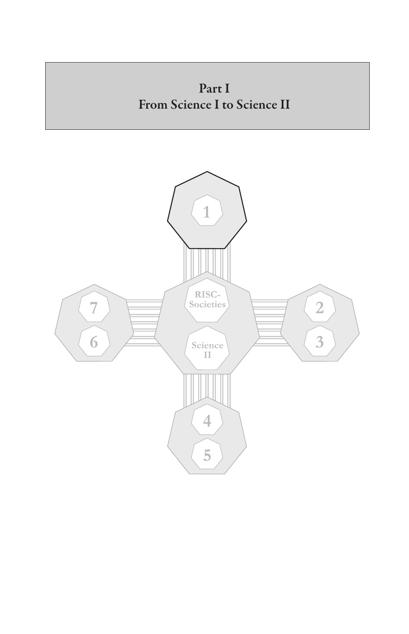

 $\overline{4}$ 

 $\overline{5}$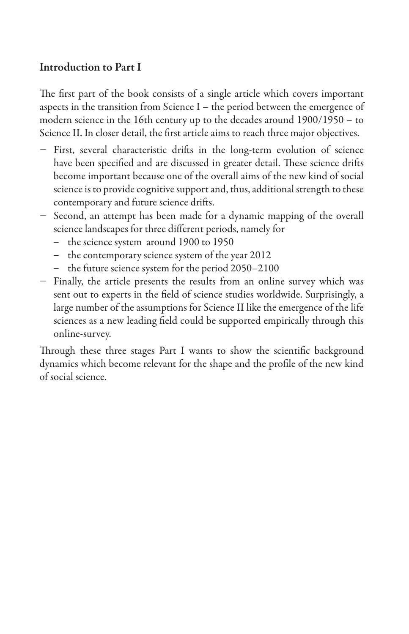# Introduction to Part I

The first part of the book consists of a single article which covers important aspects in the transition from Science I – the period between the emergence of modern science in the 16th century up to the decades around 1900/1950 – to Science II. In closer detail, the first article aims to reach three major objectives.

- − First, several characteristic drifts in the long-term evolution of science have been specified and are discussed in greater detail. These science drifts become important because one of the overall aims of the new kind of social science is to provide cognitive support and, thus, additional strength to these contemporary and future science drifts.
- − Second, an attempt has been made for a dynamic mapping of the overall science landscapes for three different periods, namely for
	- the science system around 1900 to 1950
	- the contemporary science system of the year 2012
	- the future science system for the period 2050–2100
- − Finally, the article presents the results from an online survey which was sent out to experts in the field of science studies worldwide. Surprisingly, a large number of the assumptions for Science II like the emergence of the life sciences as a new leading field could be supported empirically through this online-survey.

Through these three stages Part I wants to show the scientific background dynamics which become relevant for the shape and the profile of the new kind of social science.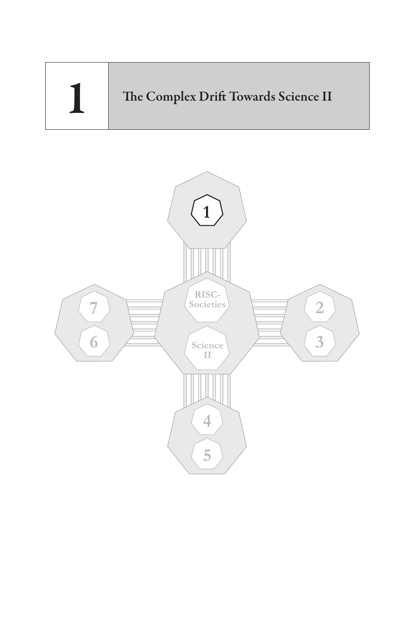

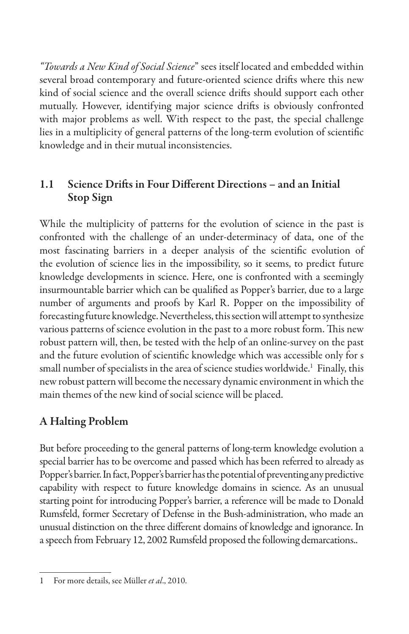*"Towards a New Kind of Social Science*" sees itself located and embedded within several broad contemporary and future-oriented science drifts where this new kind of social science and the overall science drifts should support each other mutually. However, identifying major science drifts is obviously confronted with major problems as well. With respect to the past, the special challenge lies in a multiplicity of general patterns of the long-term evolution of scientific knowledge and in their mutual inconsistencies.

# 1.1 Science Drifts in Four Different Directions – and an Initial Stop Sign

While the multiplicity of patterns for the evolution of science in the past is confronted with the challenge of an under-determinacy of data, one of the most fascinating barriers in a deeper analysis of the scientific evolution of the evolution of science lies in the impossibility, so it seems, to predict future knowledge developments in science. Here, one is confronted with a seemingly insurmountable barrier which can be qualified as Popper's barrier, due to a large number of arguments and proofs by Karl R. Popper on the impossibility of forecasting future knowledge. Nevertheless, this section will attempt to synthesize various patterns of science evolution in the past to a more robust form. This new robust pattern will, then, be tested with the help of an online-survey on the past and the future evolution of scientific knowledge which was accessible only for s small number of specialists in the area of science studies worldwide.<sup>1</sup> Finally, this new robust pattern will become the necessary dynamic environment in which the main themes of the new kind of social science will be placed.

# A Halting Problem

But before proceeding to the general patterns of long-term knowledge evolution a special barrier has to be overcome and passed which has been referred to already as Popper's barrier. In fact, Popper's barrier has the potential of preventing any predictive capability with respect to future knowledge domains in science. As an unusual starting point for introducing Popper's barrier, a reference will be made to Donald Rumsfeld, former Secretary of Defense in the Bush-administration, who made an unusual distinction on the three different domains of knowledge and ignorance. In a speech from February 12, 2002 Rumsfeld proposed the following demarcations..

<sup>1</sup> For more details, see Müller *et al*., 2010.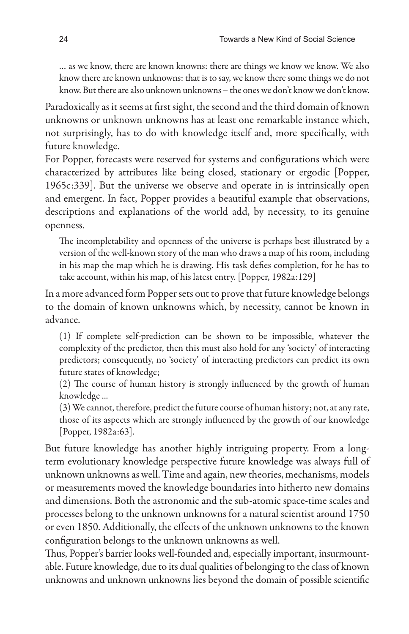… as we know, there are known knowns: there are things we know we know. We also know there are known unknowns: that is to say, we know there some things we do not know. But there are also unknown unknowns – the ones we don't know we don't know.

Paradoxically as it seems at first sight, the second and the third domain of known unknowns or unknown unknowns has at least one remarkable instance which, not surprisingly, has to do with knowledge itself and, more specifically, with future knowledge.

For Popper, forecasts were reserved for systems and configurations which were characterized by attributes like being closed, stationary or ergodic [Popper, 1965c:339]. But the universe we observe and operate in is intrinsically open and emergent. In fact, Popper provides a beautiful example that observations, descriptions and explanations of the world add, by necessity, to its genuine openness.

The incompletability and openness of the universe is perhaps best illustrated by a version of the well-known story of the man who draws a map of his room, including in his map the map which he is drawing. His task defies completion, for he has to take account, within his map, of his latest entry. [Popper, 1982a:129]

In a more advanced form Popper sets out to prove that future knowledge belongs to the domain of known unknowns which, by necessity, cannot be known in advance.

(1) If complete self-prediction can be shown to be impossible, whatever the complexity of the predictor, then this must also hold for any 'society' of interacting predictors; consequently, no 'society' of interacting predictors can predict its own future states of knowledge;

(2) The course of human history is strongly influenced by the growth of human knowledge ...

(3) We cannot, therefore, predict the future course of human history; not, at any rate, those of its aspects which are strongly influenced by the growth of our knowledge [Popper, 1982a:63].

But future knowledge has another highly intriguing property. From a longterm evolutionary knowledge perspective future knowledge was always full of unknown unknowns as well. Time and again, new theories, mechanisms, models or measurements moved the knowledge boundaries into hitherto new domains and dimensions. Both the astronomic and the sub-atomic space-time scales and processes belong to the unknown unknowns for a natural scientist around 1750 or even 1850. Additionally, the effects of the unknown unknowns to the known configuration belongs to the unknown unknowns as well.

Thus, Popper's barrier looks well-founded and, especially important, insurmountable. Future knowledge, due to its dual qualities of belonging to the class of known unknowns and unknown unknowns lies beyond the domain of possible scientific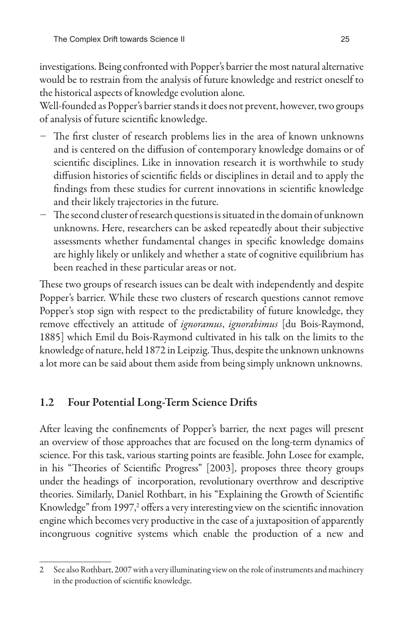investigations. Being confronted with Popper's barrier the most natural alternative would be to restrain from the analysis of future knowledge and restrict oneself to the historical aspects of knowledge evolution alone.

Well-founded as Popper's barrier stands it does not prevent, however, two groups of analysis of future scientific knowledge.

- − The first cluster of research problems lies in the area of known unknowns and is centered on the diffusion of contemporary knowledge domains or of scientific disciplines. Like in innovation research it is worthwhile to study diffusion histories of scientific fields or disciplines in detail and to apply the findings from these studies for current innovations in scientific knowledge and their likely trajectories in the future.
- − The second cluster of research questions is situated in the domain of unknown unknowns. Here, researchers can be asked repeatedly about their subjective assessments whether fundamental changes in specific knowledge domains are highly likely or unlikely and whether a state of cognitive equilibrium has been reached in these particular areas or not.

These two groups of research issues can be dealt with independently and despite Popper's barrier. While these two clusters of research questions cannot remove Popper's stop sign with respect to the predictability of future knowledge, they remove effectively an attitude of *ignoramus*, *ignorabimus* [du Bois-Raymond, 1885] which Emil du Bois-Raymond cultivated in his talk on the limits to the knowledge of nature, held 1872 in Leipzig. Thus, despite the unknown unknowns a lot more can be said about them aside from being simply unknown unknowns.

# 1.2 Four Potential Long-Term Science Drifts

After leaving the confinements of Popper's barrier, the next pages will present an overview of those approaches that are focused on the long-term dynamics of science. For this task, various starting points are feasible. John Losee for example, in his "Theories of Scientific Progress" [2003], proposes three theory groups under the headings of incorporation, revolutionary overthrow and descriptive theories. Similarly, Daniel Rothbart, in his "Explaining the Growth of Scientific Knowledge" from 1997,<sup>2</sup> offers a very interesting view on the scientific innovation engine which becomes very productive in the case of a juxtaposition of apparently incongruous cognitive systems which enable the production of a new and

<sup>2</sup> See also Rothbart, 2007 with a very illuminating view on the role of instruments and machinery in the production of scientific knowledge.